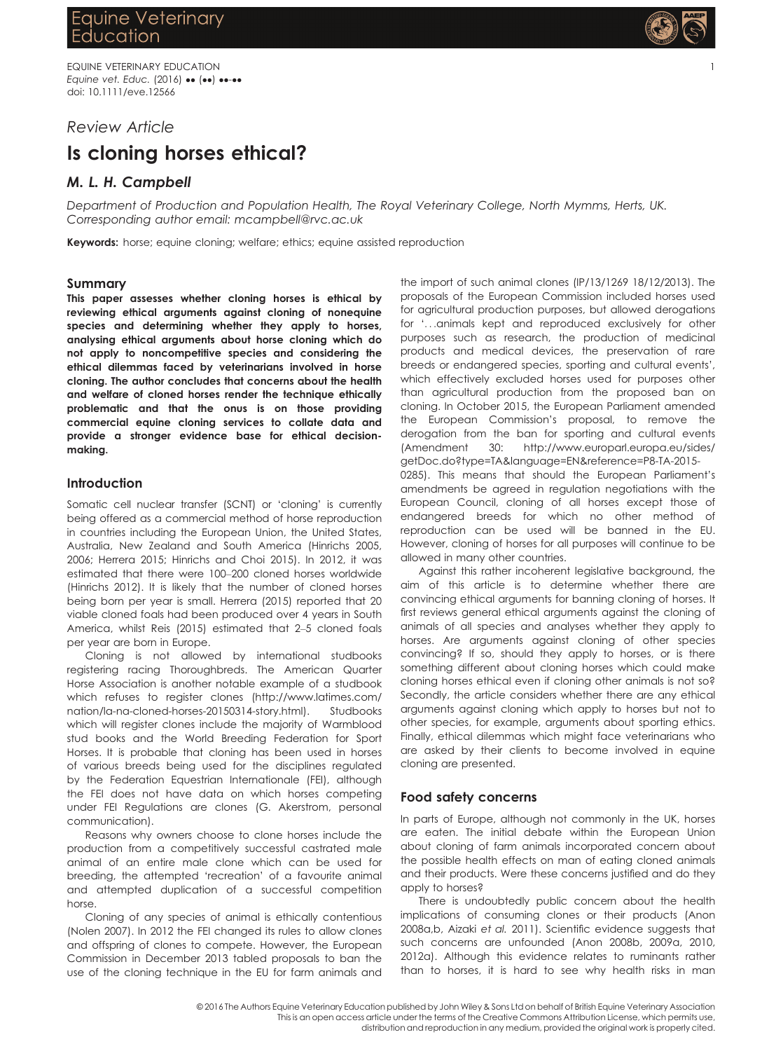EQUINE VETERINARY EDUCATION 1 Equine vet. Educ. (2016)  $\bullet\bullet$  ( $\bullet\bullet$ )  $\bullet\bullet\text{-}\bullet\bullet$ doi: 10.1111/eve.12566

# Review Article

# Is cloning horses ethical?

M. L. H. Campbell Department of Production and Population Health, The Royal Veterinary College, North Mymms, Herts, UK. Corresponding author email: mcampbell@rvc.ac.uk

Keywords: horse; equine cloning; welfare; ethics; equine assisted reproduction

# Summary

This paper assesses whether cloning horses is ethical by reviewing ethical arguments against cloning of nonequine species and determining whether they apply to horses, analysing ethical arguments about horse cloning which do not apply to noncompetitive species and considering the ethical dilemmas faced by veterinarians involved in horse cloning. The author concludes that concerns about the health and welfare of cloned horses render the technique ethically problematic and that the onus is on those providing commercial equine cloning services to collate data and provide a stronger evidence base for ethical decisionmaking.

# Introduction

Somatic cell nuclear transfer (SCNT) or 'cloning' is currently being offered as a commercial method of horse reproduction in countries including the European Union, the United States, Australia, New Zealand and South America (Hinrichs 2005, 2006; Herrera 2015; Hinrichs and Choi 2015). In 2012, it was estimated that there were 100–200 cloned horses worldwide (Hinrichs 2012). It is likely that the number of cloned horses being born per year is small. Herrera (2015) reported that 20 viable cloned foals had been produced over 4 years in South America, whilst Reis (2015) estimated that 2–5 cloned foals per year are born in Europe.

Cloning is not allowed by international studbooks registering racing Thoroughbreds. The American Quarter Horse Association is another notable example of a studbook which refuses to register clones (http://www.latimes.com/ nation/la-na-cloned-horses-20150314-story.html). Studbooks which will register clones include the majority of Warmblood stud books and the World Breeding Federation for Sport Horses. It is probable that cloning has been used in horses of various breeds being used for the disciplines regulated by the Federation Equestrian Internationale (FEI), although the FEI does not have data on which horses competing under FEI Regulations are clones (G. Akerstrom, personal communication).

Reasons why owners choose to clone horses include the production from a competitively successful castrated male animal of an entire male clone which can be used for breeding, the attempted 'recreation' of a favourite animal and attempted duplication of a successful competition horse.

Cloning of any species of animal is ethically contentious (Nolen 2007). In 2012 the FEI changed its rules to allow clones and offspring of clones to compete. However, the European Commission in December 2013 tabled proposals to ban the use of the cloning technique in the EU for farm animals and the import of such animal clones (IP/13/1269 18/12/2013). The proposals of the European Commission included horses used for agricultural production purposes, but allowed derogations for '...animals kept and reproduced exclusively for other purposes such as research, the production of medicinal products and medical devices, the preservation of rare breeds or endangered species, sporting and cultural events', which effectively excluded horses used for purposes other than agricultural production from the proposed ban on cloning. In October 2015, the European Parliament amended the European Commission's proposal, to remove the derogation from the ban for sporting and cultural events (Amendment 30: http://www.europarl.europa.eu/sides/ getDoc.do?type=TA&language=EN&reference=P8-TA-2015- 0285). This means that should the European Parliament's amendments be agreed in regulation negotiations with the European Council, cloning of all horses except those of endangered breeds for which no other method of reproduction can be used will be banned in the EU. However, cloning of horses for all purposes will continue to be

allowed in many other countries. Against this rather incoherent legislative background, the aim of this article is to determine whether there are convincing ethical arguments for banning cloning of horses. It first reviews general ethical arguments against the cloning of animals of all species and analyses whether they apply to horses. Are arguments against cloning of other species convincing? If so, should they apply to horses, or is there something different about cloning horses which could make cloning horses ethical even if cloning other animals is not so? Secondly, the article considers whether there are any ethical arguments against cloning which apply to horses but not to other species, for example, arguments about sporting ethics. Finally, ethical dilemmas which might face veterinarians who are asked by their clients to become involved in equine cloning are presented.

# Food safety concerns

In parts of Europe, although not commonly in the UK, horses are eaten. The initial debate within the European Union about cloning of farm animals incorporated concern about the possible health effects on man of eating cloned animals and their products. Were these concerns justified and do they apply to horses?

There is undoubtedly public concern about the health implications of consuming clones or their products (Anon 2008a,b, Aizaki et al. 2011). Scientific evidence suggests that such concerns are unfounded (Anon 2008b, 2009a, 2010, 2012a). Although this evidence relates to ruminants rather than to horses, it is hard to see why health risks in man

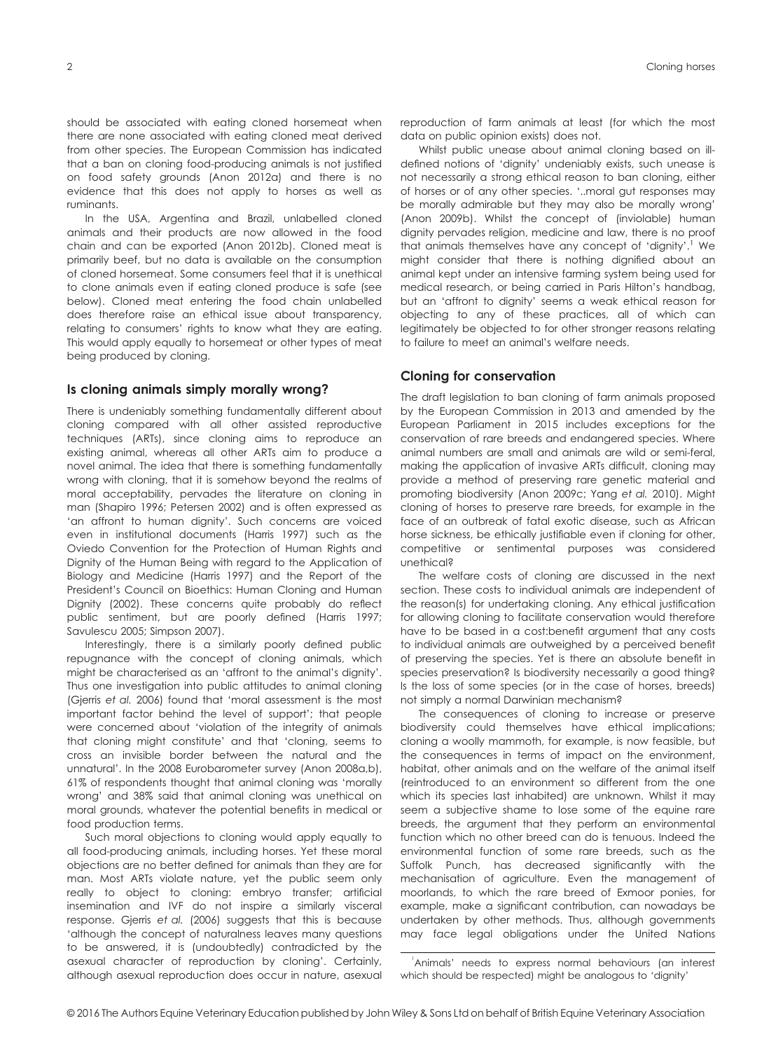should be associated with eating cloned horsemeat when there are none associated with eating cloned meat derived from other species. The European Commission has indicated that a ban on cloning food-producing animals is not justified on food safety grounds (Anon 2012a) and there is no evidence that this does not apply to horses as well as ruminants.

In the USA, Argentina and Brazil, unlabelled cloned animals and their products are now allowed in the food chain and can be exported (Anon 2012b). Cloned meat is primarily beef, but no data is available on the consumption of cloned horsemeat. Some consumers feel that it is unethical to clone animals even if eating cloned produce is safe (see below). Cloned meat entering the food chain unlabelled does therefore raise an ethical issue about transparency, relating to consumers' rights to know what they are eating. This would apply equally to horsemeat or other types of meat being produced by cloning.

# Is cloning animals simply morally wrong?

There is undeniably something fundamentally different about cloning compared with all other assisted reproductive techniques (ARTs), since cloning aims to reproduce an existing animal, whereas all other ARTs aim to produce a novel animal. The idea that there is something fundamentally wrong with cloning, that it is somehow beyond the realms of moral acceptability, pervades the literature on cloning in man (Shapiro 1996; Petersen 2002) and is often expressed as 'an affront to human dignity'. Such concerns are voiced even in institutional documents (Harris 1997) such as the Oviedo Convention for the Protection of Human Rights and Dignity of the Human Being with regard to the Application of Biology and Medicine (Harris 1997) and the Report of the President's Council on Bioethics: Human Cloning and Human Dignity (2002). These concerns quite probably do reflect public sentiment, but are poorly defined (Harris 1997; Savulescu 2005; Simpson 2007).

Interestingly, there is a similarly poorly defined public repugnance with the concept of cloning animals, which might be characterised as an 'affront to the animal's dignity'. Thus one investigation into public attitudes to animal cloning (Gjerris et al. 2006) found that 'moral assessment is the most important factor behind the level of support'; that people were concerned about 'violation of the integrity of animals that cloning might constitute' and that 'cloning, seems to cross an invisible border between the natural and the unnatural'. In the 2008 Eurobarometer survey (Anon 2008a,b), 61% of respondents thought that animal cloning was 'morally wrong' and 38% said that animal cloning was unethical on moral grounds, whatever the potential benefits in medical or food production terms.

Such moral objections to cloning would apply equally to all food-producing animals, including horses. Yet these moral objections are no better defined for animals than they are for man. Most ARTs violate nature, yet the public seem only really to object to cloning: embryo transfer; artificial insemination and IVF do not inspire a similarly visceral response. Gjerris et al. (2006) suggests that this is because 'although the concept of naturalness leaves many questions to be answered, it is (undoubtedly) contradicted by the asexual character of reproduction by cloning'. Certainly, although asexual reproduction does occur in nature, asexual reproduction of farm animals at least (for which the most data on public opinion exists) does not.

Whilst public unease about animal cloning based on illdefined notions of 'dignity' undeniably exists, such unease is not necessarily a strong ethical reason to ban cloning, either of horses or of any other species. '..moral gut responses may be morally admirable but they may also be morally wrong' (Anon 2009b). Whilst the concept of (inviolable) human dignity pervades religion, medicine and law, there is no proof that animals themselves have any concept of 'dignity'. <sup>1</sup> We might consider that there is nothing dignified about an animal kept under an intensive farming system being used for medical research, or being carried in Paris Hilton's handbag, but an 'affront to dignity' seems a weak ethical reason for objecting to any of these practices, all of which can legitimately be objected to for other stronger reasons relating to failure to meet an animal's welfare needs.

# Cloning for conservation

The draft legislation to ban cloning of farm animals proposed by the European Commission in 2013 and amended by the European Parliament in 2015 includes exceptions for the conservation of rare breeds and endangered species. Where animal numbers are small and animals are wild or semi-feral, making the application of invasive ARTs difficult, cloning may provide a method of preserving rare genetic material and promoting biodiversity (Anon 2009c; Yang et al. 2010). Might cloning of horses to preserve rare breeds, for example in the face of an outbreak of fatal exotic disease, such as African horse sickness, be ethically justifiable even if cloning for other, competitive or sentimental purposes was considered unethical?

The welfare costs of cloning are discussed in the next section. These costs to individual animals are independent of the reason(s) for undertaking cloning. Any ethical justification for allowing cloning to facilitate conservation would therefore have to be based in a cost:benefit argument that any costs to individual animals are outweighed by a perceived benefit of preserving the species. Yet is there an absolute benefit in species preservation? Is biodiversity necessarily a good thing? Is the loss of some species (or in the case of horses, breeds) not simply a normal Darwinian mechanism?

The consequences of cloning to increase or preserve biodiversity could themselves have ethical implications; cloning a woolly mammoth, for example, is now feasible, but the consequences in terms of impact on the environment, habitat, other animals and on the welfare of the animal itself (reintroduced to an environment so different from the one which its species last inhabited) are unknown. Whilst it may seem a subjective shame to lose some of the equine rare breeds, the argument that they perform an environmental function which no other breed can do is tenuous. Indeed the environmental function of some rare breeds, such as the Suffolk Punch, has decreased significantly with the mechanisation of agriculture. Even the management of moorlands, to which the rare breed of Exmoor ponies, for example, make a significant contribution, can nowadays be undertaken by other methods. Thus, although governments may face legal obligations under the United Nations

1 Animals' needs to express normal behaviours (an interest which should be respected) might be analogous to 'dignity'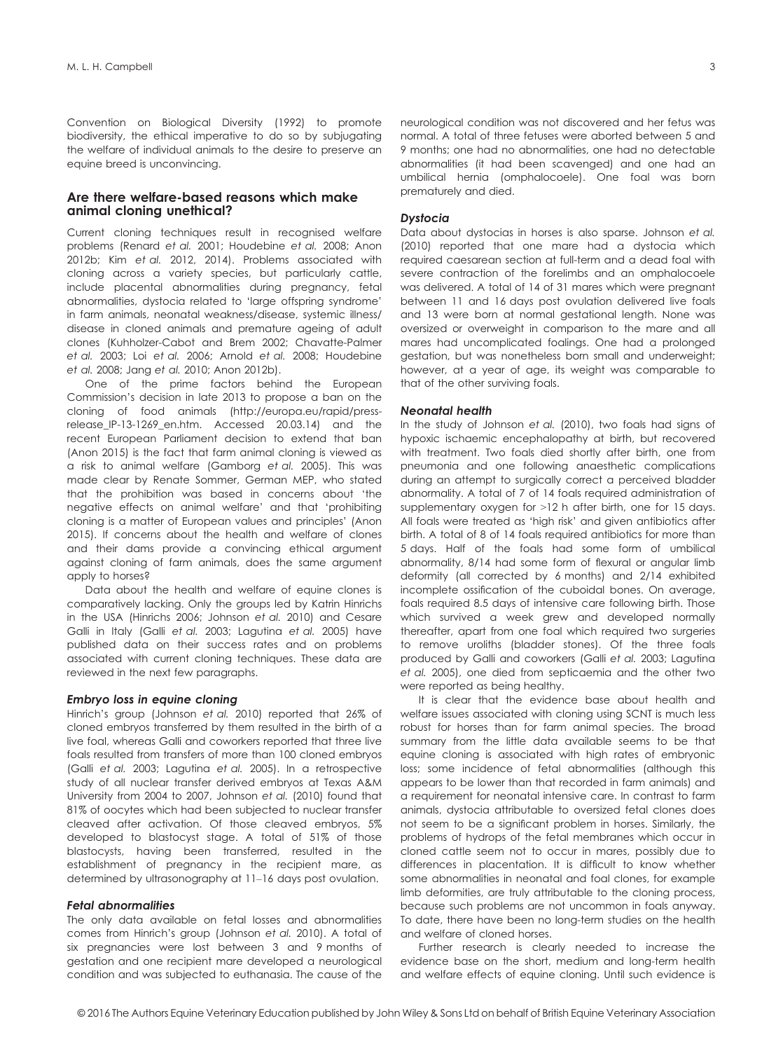Convention on Biological Diversity (1992) to promote biodiversity, the ethical imperative to do so by subjugating the welfare of individual animals to the desire to preserve an equine breed is unconvincing.

# Are there welfare-based reasons which make animal cloning unethical?

Current cloning techniques result in recognised welfare problems (Renard et al. 2001; Houdebine et al. 2008; Anon 2012b; Kim et al. 2012, 2014). Problems associated with cloning across a variety species, but particularly cattle, include placental abnormalities during pregnancy, fetal abnormalities, dystocia related to 'large offspring syndrome' in farm animals, neonatal weakness/disease, systemic illness/ disease in cloned animals and premature ageing of adult clones (Kuhholzer-Cabot and Brem 2002; Chavatte-Palmer et al. 2003; Loi et al. 2006; Arnold et al. 2008; Houdebine et al. 2008; Jang et al. 2010; Anon 2012b).

One of the prime factors behind the European Commission's decision in late 2013 to propose a ban on the cloning of food animals (http://europa.eu/rapid/pressrelease\_IP-13-1269\_en.htm. Accessed 20.03.14) and the recent European Parliament decision to extend that ban (Anon 2015) is the fact that farm animal cloning is viewed as a risk to animal welfare (Gamborg et al. 2005). This was made clear by Renate Sommer, German MEP, who stated that the prohibition was based in concerns about 'the negative effects on animal welfare' and that 'prohibiting cloning is a matter of European values and principles' (Anon 2015). If concerns about the health and welfare of clones and their dams provide a convincing ethical argument against cloning of farm animals, does the same argument apply to horses?

Data about the health and welfare of equine clones is comparatively lacking. Only the groups led by Katrin Hinrichs in the USA (Hinrichs 2006; Johnson et al. 2010) and Cesare Galli in Italy (Galli et al. 2003; Lagutina et al. 2005) have published data on their success rates and on problems associated with current cloning techniques. These data are reviewed in the next few paragraphs.

Hinrich's group (Johnson et al. 2010) reported that 26% of cloned embryos transferred by them resulted in the birth of a live foal, whereas Galli and coworkers reported that three live foals resulted from transfers of more than 100 cloned embryos (Galli et al. 2003; Lagutina et al. 2005). In a retrospective study of all nuclear transfer derived embryos at Texas A&M University from 2004 to 2007, Johnson et al. (2010) found that 81% of oocytes which had been subjected to nuclear transfer cleaved after activation. Of those cleaved embryos, 5% developed to blastocyst stage. A total of 51% of those blastocysts, having been transferred, resulted in the establishment of pregnancy in the recipient mare, as determined by ultrasonography at 11–16 days post ovulation.

### **Fetal abnormalities**

The only data available on fetal losses and abnormalities comes from Hinrich's group (Johnson et al. 2010). A total of six pregnancies were lost between 3 and 9 months of gestation and one recipient mare developed a neurological condition and was subjected to euthanasia. The cause of the

neurological condition was not discovered and her fetus was normal. A total of three fetuses were aborted between 5 and 9 months; one had no abnormalities, one had no detectable abnormalities (it had been scavenged) and one had an umbilical hernia (omphalocoele). One foal was born prematurely and died.

Solata about dystocias in horses is also sparse. Johnson et al. (2010) reported that one mare had a dystocia which required caesarean section at full-term and a dead foal with severe contraction of the forelimbs and an omphalocoele was delivered. A total of 14 of 31 mares which were pregnant between 11 and 16 days post ovulation delivered live foals and 13 were born at normal gestational length. None was oversized or overweight in comparison to the mare and all mares had uncomplicated foalings. One had a prolonged gestation, but was nonetheless born small and underweight; however, at a year of age, its weight was comparable to that of the other surviving foals.

### **Neonatal health**

In the study of Johnson et al. (2010), two foals had signs of hypoxic ischaemic encephalopathy at birth, but recovered with treatment. Two foals died shortly after birth, one from pneumonia and one following anaesthetic complications during an attempt to surgically correct a perceived bladder abnormality. A total of 7 of 14 foals required administration of supplementary oxygen for >12 h after birth, one for 15 days. All foals were treated as 'high risk' and given antibiotics after birth. A total of 8 of 14 foals required antibiotics for more than 5 days. Half of the foals had some form of umbilical abnormality, 8/14 had some form of flexural or angular limb deformity (all corrected by 6 months) and 2/14 exhibited incomplete ossification of the cuboidal bones. On average, foals required 8.5 days of intensive care following birth. Those which survived a week grew and developed normally thereafter, apart from one foal which required two surgeries to remove uroliths (bladder stones). Of the three foals produced by Galli and coworkers (Galli et al. 2003; Lagutina et al. 2005), one died from septicaemia and the other two were reported as being healthy.

It is clear that the evidence base about health and welfare issues associated with cloning using SCNT is much less robust for horses than for farm animal species. The broad summary from the little data available seems to be that equine cloning is associated with high rates of embryonic loss; some incidence of fetal abnormalities (although this appears to be lower than that recorded in farm animals) and a requirement for neonatal intensive care. In contrast to farm animals, dystocia attributable to oversized fetal clones does not seem to be a significant problem in horses. Similarly, the problems of hydrops of the fetal membranes which occur in cloned cattle seem not to occur in mares, possibly due to differences in placentation. It is difficult to know whether some abnormalities in neonatal and foal clones, for example limb deformities, are truly attributable to the cloning process, because such problems are not uncommon in foals anyway. To date, there have been no long-term studies on the health and welfare of cloned horses.

Further research is clearly needed to increase the evidence base on the short, medium and long-term health and welfare effects of equine cloning. Until such evidence is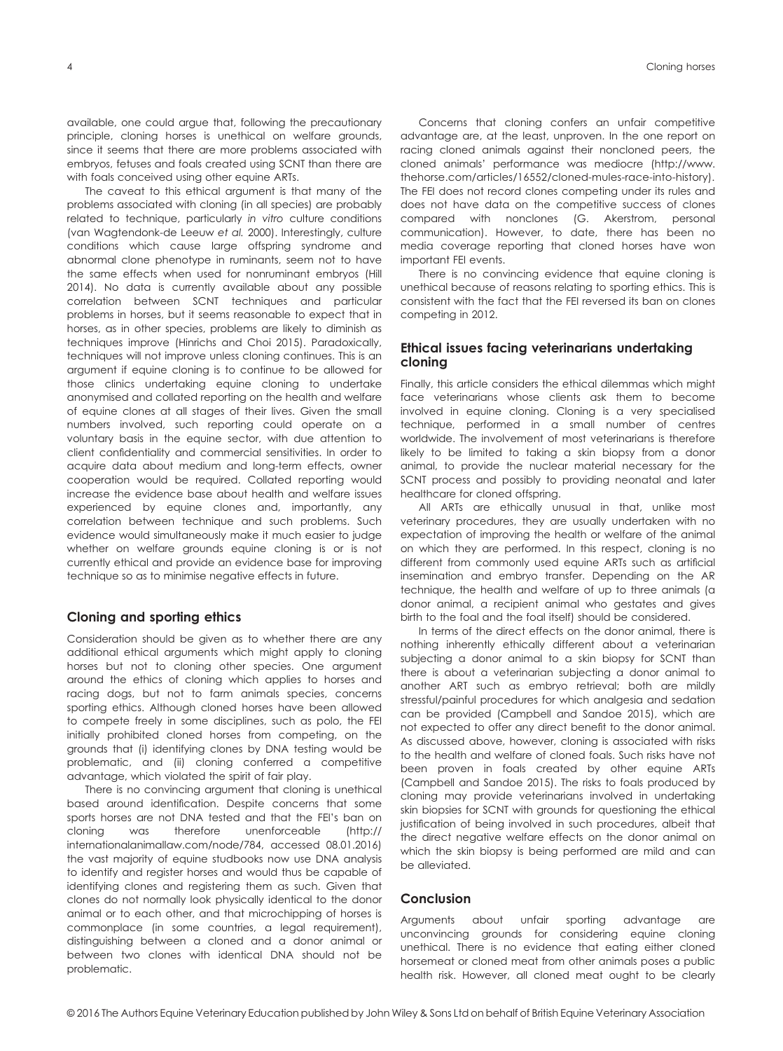available, one could argue that, following the precautionary principle, cloning horses is unethical on welfare grounds, since it seems that there are more problems associated with embryos, fetuses and foals created using SCNT than there are with foals conceived using other equine ARTs.

The caveat to this ethical argument is that many of the problems associated with cloning (in all species) are probably related to technique, particularly in vitro culture conditions (van Wagtendonk-de Leeuw et al. 2000). Interestingly, culture conditions which cause large offspring syndrome and abnormal clone phenotype in ruminants, seem not to have the same effects when used for nonruminant embryos (Hill 2014). No data is currently available about any possible correlation between SCNT techniques and particular problems in horses, but it seems reasonable to expect that in horses, as in other species, problems are likely to diminish as techniques improve (Hinrichs and Choi 2015). Paradoxically, techniques will not improve unless cloning continues. This is an argument if equine cloning is to continue to be allowed for those clinics undertaking equine cloning to undertake anonymised and collated reporting on the health and welfare of equine clones at all stages of their lives. Given the small numbers involved, such reporting could operate on a voluntary basis in the equine sector, with due attention to client confidentiality and commercial sensitivities. In order to acquire data about medium and long-term effects, owner cooperation would be required. Collated reporting would increase the evidence base about health and welfare issues experienced by equine clones and, importantly, any correlation between technique and such problems. Such evidence would simultaneously make it much easier to judge whether on welfare grounds equine cloning is or is not currently ethical and provide an evidence base for improving technique so as to minimise negative effects in future.

# Cloning and sporting ethics

Consideration should be given as to whether there are any additional ethical arguments which might apply to cloning horses but not to cloning other species. One argument around the ethics of cloning which applies to horses and racing dogs, but not to farm animals species, concerns sporting ethics. Although cloned horses have been allowed to compete freely in some disciplines, such as polo, the FEI initially prohibited cloned horses from competing, on the grounds that (i) identifying clones by DNA testing would be problematic, and (ii) cloning conferred a competitive advantage, which violated the spirit of fair play.

There is no convincing argument that cloning is unethical based around identification. Despite concerns that some sports horses are not DNA tested and that the FEI's ban on cloning was therefore unenforceable (http:// internationalanimallaw.com/node/784, accessed 08.01.2016) the vast majority of equine studbooks now use DNA analysis to identify and register horses and would thus be capable of identifying clones and registering them as such. Given that clones do not normally look physically identical to the donor animal or to each other, and that microchipping of horses is commonplace (in some countries, a legal requirement), distinguishing between a cloned and a donor animal or between two clones with identical DNA should not be problematic.

Concerns that cloning confers an unfair competitive advantage are, at the least, unproven. In the one report on racing cloned animals against their noncloned peers, the cloned animals' performance was mediocre (http://www. thehorse.com/articles/16552/cloned-mules-race-into-history). The FEI does not record clones competing under its rules and does not have data on the competitive success of clones compared with nonclones (G. Akerstrom, personal communication). However, to date, there has been no media coverage reporting that cloned horses have won important FEI events.

There is no convincing evidence that equine cloning is unethical because of reasons relating to sporting ethics. This is consistent with the fact that the FEI reversed its ban on clones competing in 2012.

# Ethical issues facing veterinarians undertaking cloning

Finally, this article considers the ethical dilemmas which might face veterinarians whose clients ask them to become involved in equine cloning. Cloning is a very specialised technique, performed in a small number of centres worldwide. The involvement of most veterinarians is therefore likely to be limited to taking a skin biopsy from a donor animal, to provide the nuclear material necessary for the SCNT process and possibly to providing neonatal and later healthcare for cloned offspring.

All ARTs are ethically unusual in that, unlike most veterinary procedures, they are usually undertaken with no expectation of improving the health or welfare of the animal on which they are performed. In this respect, cloning is no different from commonly used equine ARTs such as artificial insemination and embryo transfer. Depending on the AR technique, the health and welfare of up to three animals (a donor animal, a recipient animal who gestates and gives birth to the foal and the foal itself) should be considered.

In terms of the direct effects on the donor animal, there is nothing inherently ethically different about a veterinarian subjecting a donor animal to a skin biopsy for SCNT than there is about a veterinarian subjecting a donor animal to another ART such as embryo retrieval; both are mildly stressful/painful procedures for which analgesia and sedation can be provided (Campbell and Sandoe 2015), which are not expected to offer any direct benefit to the donor animal. As discussed above, however, cloning is associated with risks to the health and welfare of cloned foals. Such risks have not been proven in foals created by other equine ARTs (Campbell and Sandoe 2015). The risks to foals produced by cloning may provide veterinarians involved in undertaking skin biopsies for SCNT with grounds for questioning the ethical justification of being involved in such procedures, albeit that the direct negative welfare effects on the donor animal on which the skin biopsy is being performed are mild and can be alleviated.

### Conclusion

Arguments about unfair sporting advantage are unconvincing grounds for considering equine cloning unethical. There is no evidence that eating either cloned horsemeat or cloned meat from other animals poses a public health risk. However, all cloned meat ought to be clearly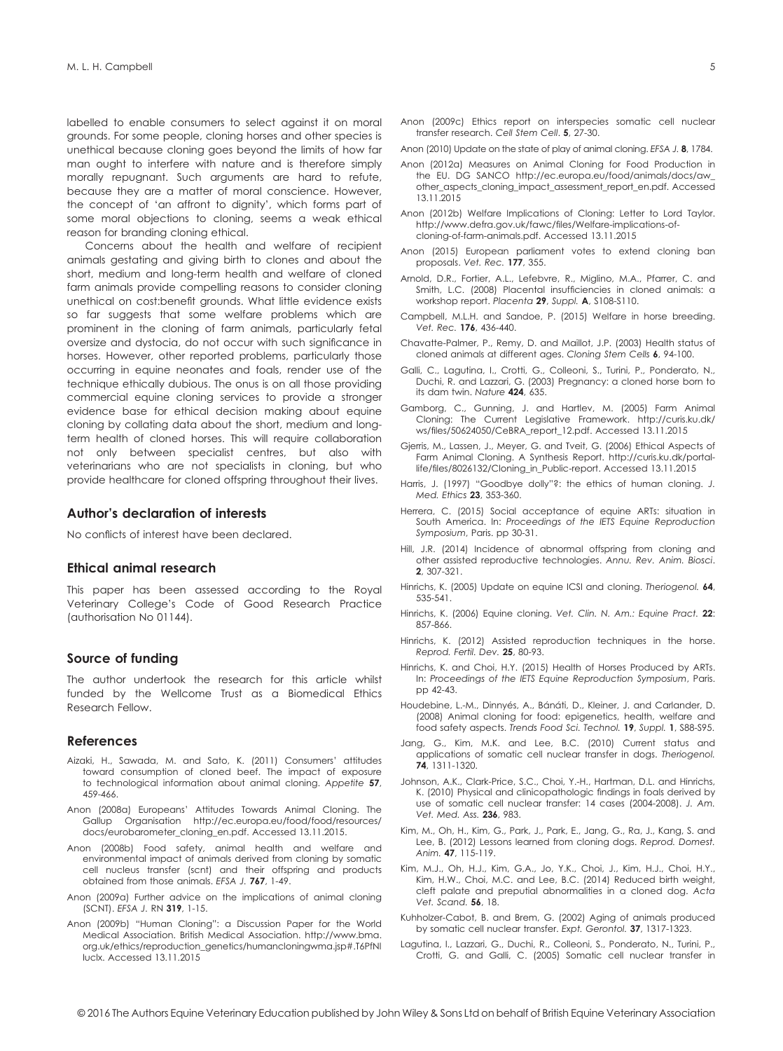labelled to enable consumers to select against it on moral grounds. For some people, cloning horses and other species is unethical because cloning goes beyond the limits of how far man ought to interfere with nature and is therefore simply morally repugnant. Such arguments are hard to refute, because they are a matter of moral conscience. However, the concept of 'an affront to dignity', which forms part of some moral objections to cloning, seems a weak ethical reason for branding cloning ethical.

Concerns about the health and welfare of recipient animals gestating and giving birth to clones and about the short, medium and long-term health and welfare of cloned farm animals provide compelling reasons to consider cloning unethical on cost:benefit grounds. What little evidence exists so far suggests that some welfare problems which are prominent in the cloning of farm animals, particularly fetal oversize and dystocia, do not occur with such significance in horses. However, other reported problems, particularly those occurring in equine neonates and foals, render use of the technique ethically dubious. The onus is on all those providing commercial equine cloning services to provide a stronger evidence base for ethical decision making about equine cloning by collating data about the short, medium and longterm health of cloned horses. This will require collaboration not only between specialist centres, but also with veterinarians who are not specialists in cloning, but who provide healthcare for cloned offspring throughout their lives.

### Author's declaration of interests

No conflicts of interest have been declared.

### Ethical animal research

This paper has been assessed according to the Royal Veterinary College's Code of Good Research Practice (authorisation No 01144).

### Source of funding

The author undertook the research for this article whilst funded by the Wellcome Trust as a Biomedical Ethics Research Fellow.

## **References**

- Aizaki, H., Sawada, M. and Sato, K. (2011) Consumers' attitudes toward consumption of cloned beef. The impact of exposure to technological information about animal cloning. Appetite 57, 459-466.
- Anon (2008a) Europeans' Attitudes Towards Animal Cloning. The Gallup Organisation http://ec.europa.eu/food/food/resources/ docs/eurobarometer\_cloning\_en.pdf. Accessed 13.11.2015.
- Anon (2008b) Food safety, animal health and welfare and environmental impact of animals derived from cloning by somatic cell nucleus transfer (scnt) and their offspring and products obtained from those animals. EFSA J. 767, 1-49.
- Anon (2009a) Further advice on the implications of animal cloning (SCNT). EFSA J. RN 319, 1-15.
- Anon (2009b) "Human Cloning": a Discussion Paper for the World Medical Association. British Medical Association. http://www.bma. org.uk/ethics/reproduction\_genetics/humancloningwma.jsp#.T6PfNl Iuclx. Accessed 13.11.2015
- Anon (2009c) Ethics report on interspecies somatic cell nuclear transfer research. Cell Stem Cell. 5, 27-30.
- Anon (2010) Update on the state of play of animal cloning. EFSA J. 8, 1784.
- Anon (2012a) Measures on Animal Cloning for Food Production in the EU. DG SANCO http://ec.europa.eu/food/animals/docs/aw\_ other\_aspects\_cloning\_impact\_assessment\_report\_en.pdf. Accessed 13.11.2015
- Anon (2012b) Welfare Implications of Cloning: Letter to Lord Taylor. http://www.defra.gov.uk/fawc/files/Welfare-implications-ofcloning-of-farm-animals.pdf. Accessed 13.11.2015
- Anon (2015) European parliament votes to extend cloning ban proposals. Vet. Rec. 177, 355.
- Arnold, D.R., Fortier, A.L., Lefebvre, R., Miglino, M.A., Pfarrer, C. and Smith, L.C. (2008) Placental insufficiencies in cloned animals: a workshop report. Placenta 29, Suppl. A, S108-S110.
- Campbell, M.L.H. and Sandoe, P. (2015) Welfare in horse breeding. Vet. Rec. 176, 436-440.
- Chavatte-Palmer, P., Remy, D. and Maillot, J.P. (2003) Health status of cloned animals at different ages. Cloning Stem Cells 6, 94-100.
- Galli, C., Lagutina, I., Crotti, G., Colleoni, S., Turini, P., Ponderato, N., Duchi, R. and Lazzari, G. (2003) Pregnancy: a cloned horse born to its dam twin. Nature 424, 635.
- Gamborg, C., Gunning, J. and Hartlev, M. (2005) Farm Animal Cloning: The Current Legislative Framework. http://curis.ku.dk/ ws/files/50624050/CeBRA\_report\_12.pdf. Accessed 13.11.2015
- Gjerris, M., Lassen, J., Meyer, G. and Tveit, G. (2006) Ethical Aspects of Farm Animal Cloning. A Synthesis Report. http://curis.ku.dk/portallife/files/8026132/Cloning\_in\_Public-report. Accessed 13.11.2015
- Harris, J. (1997) "Goodbye dolly"?: the ethics of human cloning. J. Med. Ethics 23, 353-360.
- Herrera, C. (2015) Social acceptance of equine ARTs: situation in South America. In: Proceedings of the IETS Equine Reproduction Symposium, Paris. pp 30-31.
- Hill, J.R. (2014) Incidence of abnormal offspring from cloning and other assisted reproductive technologies. Annu. Rev. Anim. Biosci. 2, 307-321.
- Hinrichs, K. (2005) Update on equine ICSI and cloning. Theriogenol. 64, 535-541.
- Hinrichs, K. (2006) Equine cloning. Vet. Clin. N. Am.: Equine Pract. 22: 857-866.
- Hinrichs, K. (2012) Assisted reproduction techniques in the horse. Reprod. Fertil. Dev. 25, 80-93.
- Hinrichs, K. and Choi, H.Y. (2015) Health of Horses Produced by ARTs. In: Proceedings of the IETS Equine Reproduction Symposium, Paris. pp 42-43.
- Houdebine, L.-M., Dinnyés, A., Bánáti, D., Kleiner, J. and Carlander, D. (2008) Animal cloning for food: epigenetics, health, welfare and food safety aspects. Trends Food Sci. Technol. 19, Suppl. 1, S88-S95.
- Jang, G., Kim, M.K. and Lee, B.C. (2010) Current status and applications of somatic cell nuclear transfer in dogs. Theriogenol. 74, 1311-1320.
- Johnson, A.K., Clark-Price, S.C., Choi, Y.-H., Hartman, D.L. and Hinrichs, K. (2010) Physical and clinicopathologic findings in foals derived by use of somatic cell nuclear transfer: 14 cases (2004-2008). J. Am. Vet. Med. Ass. 236, 983.
- Kim, M., Oh, H., Kim, G., Park, J., Park, E., Jang, G., Ra, J., Kang, S. and Lee, B. (2012) Lessons learned from cloning dogs. Reprod. Domest. Anim. 47, 115-119.
- Kim, M.J., Oh, H.J., Kim, G.A., Jo, Y.K., Choi, J., Kim, H.J., Choi, H.Y., Kim, H.W., Choi, M.C. and Lee, B.C. (2014) Reduced birth weight, cleft palate and preputial abnormalities in a cloned dog. Acta Vet. Scand. 56, 18.
- Kuhholzer-Cabot, B. and Brem, G. (2002) Aging of animals produced by somatic cell nuclear transfer. Expt. Gerontol. 37, 1317-1323.
- Lagutina, I., Lazzari, G., Duchi, R., Colleoni, S., Ponderato, N., Turini, P., Crotti, G. and Galli, C. (2005) Somatic cell nuclear transfer in